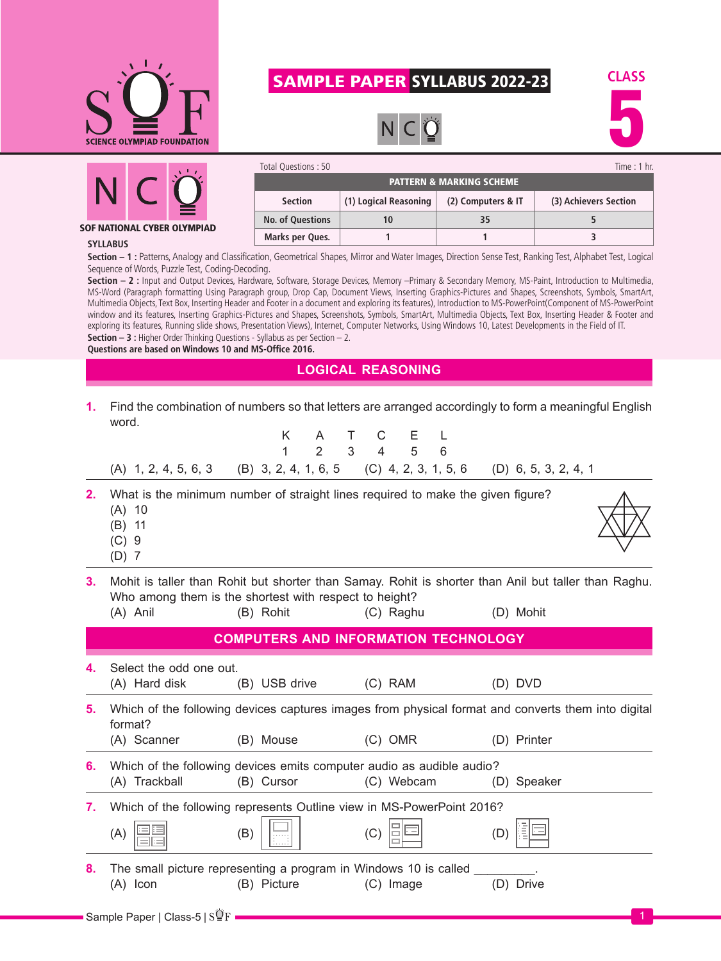

## SAMPLE PAPER SYLLABUS 2022-23







SOF NATIONAL CYBER OLYMPIAD

| Time $: 1$ hr.<br>Total Questions: 50 |                       |                    |                       |  |  |  |  |
|---------------------------------------|-----------------------|--------------------|-----------------------|--|--|--|--|
| <b>PATTERN &amp; MARKING SCHEME</b>   |                       |                    |                       |  |  |  |  |
| <b>Section</b>                        | (1) Logical Reasoning | (2) Computers & IT | (3) Achievers Section |  |  |  |  |
| <b>No. of Questions</b>               |                       | 35                 |                       |  |  |  |  |
| Marks per Ques.                       |                       |                    |                       |  |  |  |  |

## **SYLLABUS**

**Section – 1 :** Patterns, Analogy and Classification, Geometrical Shapes, Mirror and Water Images, Direction Sense Test, Ranking Test, Alphabet Test, Logical Sequence of Words, Puzzle Test, Coding-Decoding.

Section - 2 : Input and Output Devices, Hardware, Software, Storage Devices, Memory -Primary & Secondary Memory, MS-Paint, Introduction to Multimedia, MS-Word (Paragraph formatting Using Paragraph group, Drop Cap, Document Views, Inserting Graphics-Pictures and Shapes, Screenshots, Symbols, SmartArt, Multimedia Objects, Text Box, Inserting Header and Footer in a document and exploring its features), Introduction to MS-PowerPoint(Component of MS-PowerPoint window and its features, Inserting Graphics-Pictures and Shapes, Screenshots, Symbols, SmartArt, Multimedia Objects, Text Box, Inserting Header & Footer and exploring its features, Running slide shows, Presentation Views), Internet, Computer Networks, Using Windows 10, Latest Developments in the Field of IT. **Section – 3 :** Higher Order Thinking Questions - Syllabus as per Section – 2.

**Questions are based on Windows 10 and MS-Office 2016.**

## **LOGICAL REASONING**

**1.** Find the combination of numbers so that letters are arranged accordingly to form a meaningful English word.

|    |                                                                                                                                                                | K<br>1                                      | Τ<br>A<br>$\overline{2}$<br>3 | C<br>Е<br>$\overline{4}$<br>5 | 6 |             |  |
|----|----------------------------------------------------------------------------------------------------------------------------------------------------------------|---------------------------------------------|-------------------------------|-------------------------------|---|-------------|--|
|    | (A) 1, 2, 4, 5, 6, 3 (B) 3, 2, 4, 1, 6, 5 (C) 4, 2, 3, 1, 5, 6 (D) 6, 5, 3, 2, 4, 1                                                                            |                                             |                               |                               |   |             |  |
| 2. | What is the minimum number of straight lines required to make the given figure?<br>$(A)$ 10<br>$-11$<br>(B)<br>(C)<br>-9<br>$(D)$ 7                            |                                             |                               |                               |   |             |  |
| 3. | Mohit is taller than Rohit but shorter than Samay. Rohit is shorter than Anil but taller than Raghu.<br>Who among them is the shortest with respect to height? |                                             |                               |                               |   |             |  |
|    | (A) Anil                                                                                                                                                       | (B) Rohit                                   |                               | (C) Raghu                     |   | (D) Mohit   |  |
|    |                                                                                                                                                                | <b>COMPUTERS AND INFORMATION TECHNOLOGY</b> |                               |                               |   |             |  |
| 4. | Select the odd one out.<br>(A) Hard disk                                                                                                                       | (B) USB drive                               |                               | (C) RAM                       |   | (D) DVD     |  |
| 5. | Which of the following devices captures images from physical format and converts them into digital<br>format?                                                  |                                             |                               |                               |   |             |  |
|    | (A) Scanner                                                                                                                                                    | (B) Mouse                                   |                               | $(C)$ OMR                     |   | (D) Printer |  |
| 6. | Which of the following devices emits computer audio as audible audio?                                                                                          |                                             |                               |                               |   |             |  |
|    | (A) Trackball                                                                                                                                                  | (B) Cursor                                  |                               | (C) Webcam                    |   | (D) Speaker |  |
| 7. | Which of the following represents Outline view in MS-PowerPoint 2016?                                                                                          |                                             |                               |                               |   |             |  |
|    | (A)                                                                                                                                                            | (B)                                         | (C)                           |                               |   | (D)         |  |
| 8. | The small picture representing a program in Windows 10 is called<br>$(A)$ Icon                                                                                 | (B) Picture                                 |                               | (C) Image                     |   | (D) Drive   |  |
|    | - Sample Paper   Class-5   $\mathrm{s}\mathbf{\overline{Q}}\mathrm{F}$                                                                                         |                                             |                               |                               |   |             |  |